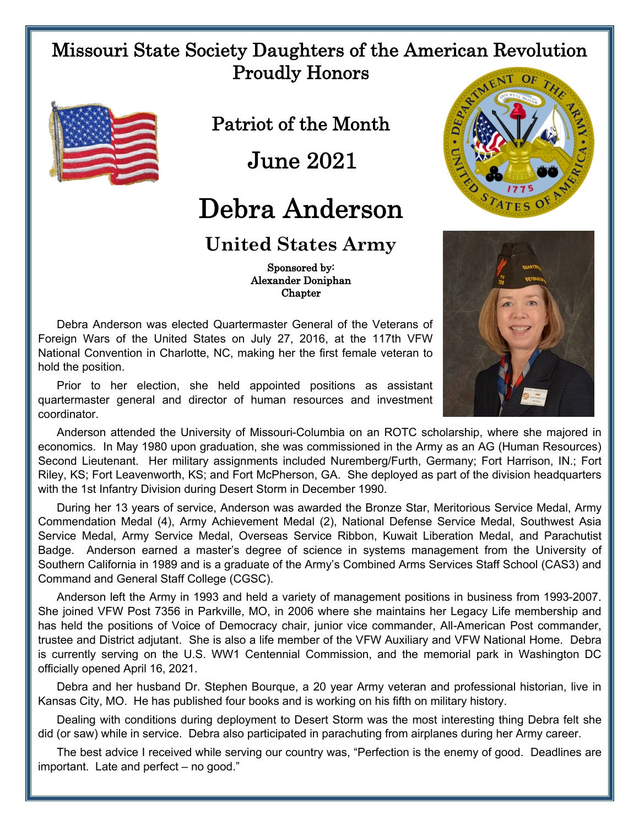## Missouri State Society Daughters of the American Revolution Proudly Honors



Patriot of the Month

June 2021

## Debra Anderson

## **United States Army**

 Sponsored by: Alexander Doniphan Chapter

Debra Anderson was elected Quartermaster General of the Veterans of Foreign Wars of the United States on July 27, 2016, at the 117th VFW National Convention in Charlotte, NC, making her the first female veteran to hold the position.

Prior to her election, she held appointed positions as assistant quartermaster general and director of human resources and investment coordinator.

with the 1st Infantry Division during Desert Storm in December 1990.

Anderson attended the University of Missouri-Columbia on an ROTC scholarship, where she majored in economics. In May 1980 upon graduation, she was commissioned in the Army as an AG (Human Resources) Second Lieutenant. Her military assignments included Nuremberg/Furth, Germany; Fort Harrison, IN.; Fort Riley, KS; Fort Leavenworth, KS; and Fort McPherson, GA. She deployed as part of the division headquarters

During her 13 years of service, Anderson was awarded the Bronze Star, Meritorious Service Medal, Army Commendation Medal (4), Army Achievement Medal (2), National Defense Service Medal, Southwest Asia Service Medal, Army Service Medal, Overseas Service Ribbon, Kuwait Liberation Medal, and Parachutist Badge. Anderson earned a master's degree of science in systems management from the University of Southern California in 1989 and is a graduate of the Army's Combined Arms Services Staff School (CAS3) and Command and General Staff College (CGSC).

Anderson left the Army in 1993 and held a variety of management positions in business from 1993-2007. She joined VFW Post 7356 in Parkville, MO, in 2006 where she maintains her Legacy Life membership and has held the positions of Voice of Democracy chair, junior vice commander, All-American Post commander, trustee and District adjutant. She is also a life member of the VFW Auxiliary and VFW National Home. Debra is currently serving on the U.S. WW1 Centennial Commission, and the memorial park in Washington DC officially opened April 16, 2021.

Debra and her husband Dr. Stephen Bourque, a 20 year Army veteran and professional historian, live in Kansas City, MO. He has published four books and is working on his fifth on military history.

Dealing with conditions during deployment to Desert Storm was the most interesting thing Debra felt she did (or saw) while in service. Debra also participated in parachuting from airplanes during her Army career.

The best advice I received while serving our country was, "Perfection is the enemy of good. Deadlines are important. Late and perfect – no good."